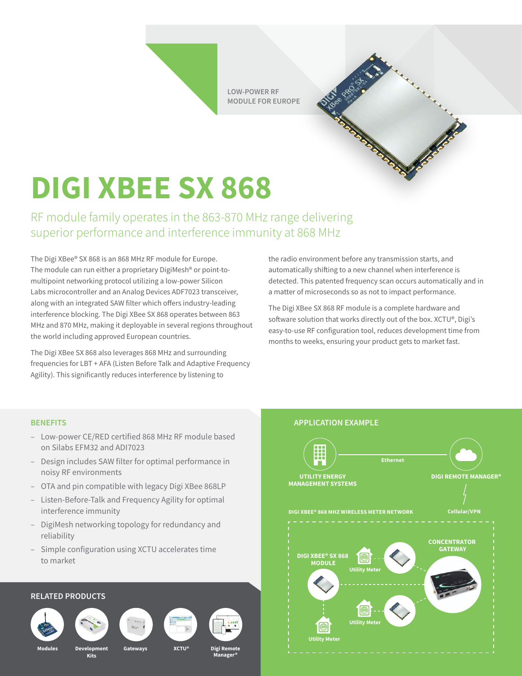**LOW-POWER RF MODULE FOR EUROPE**

## **DIGI XBEE SX 868**

RF module family operates in the 863-870 MHz range delivering superior performance and interference immunity at 868 MHz

The Digi XBee® SX 868 is an 868 MHz RF module for Europe. The module can run either a proprietary DigiMesh® or point-tomultipoint networking protocol utilizing a low-power Silicon Labs microcontroller and an Analog Devices ADF7023 transceiver, along with an integrated SAW filter which offers industry-leading interference blocking. The Digi XBee SX 868 operates between 863 MHz and 870 MHz, making it deployable in several regions throughout the world including approved European countries.

The Digi XBee SX 868 also leverages 868 MHz and surrounding frequencies for LBT + AFA (Listen Before Talk and Adaptive Frequency Agility). This significantly reduces interference by listening to

the radio environment before any transmission starts, and automatically shifting to a new channel when interference is detected. This patented frequency scan occurs automatically and in a matter of microseconds so as not to impact performance.

**FORESTER AND ADDRESS OF STRAIGHTER** 

The Digi XBee SX 868 RF module is a complete hardware and software solution that works directly out of the box. XCTU®, Digi's easy-to-use RF configuration tool, reduces development time from months to weeks, ensuring your product gets to market fast.

- Low-power CE/RED certified 868 MHz RF module based on Silabs EFM32 and ADI7023
- Design includes SAW filter for optimal performance in noisy RF environments
- OTA and pin compatible with legacy Digi XBee 868LP
- Listen-Before-Talk and Frequency Agility for optimal interference immunity
- DigiMesh networking topology for redundancy and reliability
- Simple configuration using XCTU accelerates time to market

## **RELATED PRODUCTS**







**Modules Development Gateways Kits**







**XCTU®**

**Manager®**